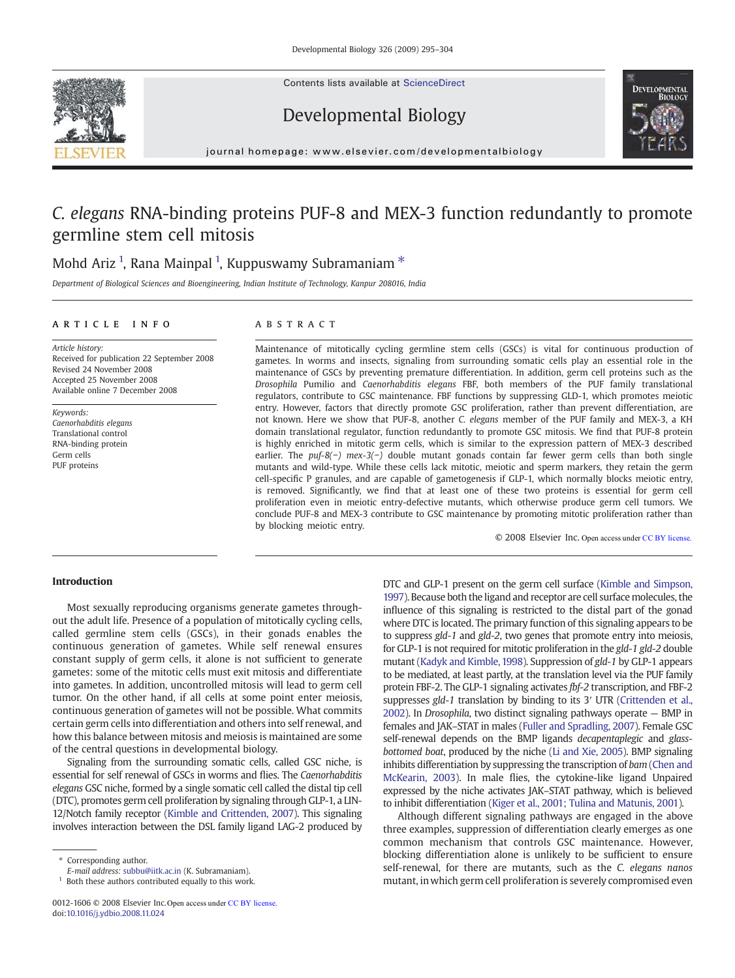Contents lists available at [ScienceDirect](http://www.sciencedirect.com/science/journal/00121606)





Developmental Biology

journal homepage: www.elsevier.com/developmentalbiology

# *C. elegans* RNA-binding proteins PUF-8 and MEX-3 function redundantly to promote germline stem cell mitosis

# Mohd Ariz <sup>1</sup>, Rana Mainpal <sup>1</sup>, Kuppuswamy Subramaniam  $^{\ast}$

*Department of Biological Sciences and Bioengineering, Indian Institute of Technology, Kanpur 208016, India*

# article info abstract

*Article history:* Received for publication 22 September 2008 Revised 24 November 2008 Accepted 25 November 2008 Available online 7 December 2008

*Keywords: Caenorhabditis elegans* Translational control RNA-binding protein Germ cells PUF proteins

Maintenance of mitotically cycling germline stem cells (GSCs) is vital for continuous production of gametes. In worms and insects, signaling from surrounding somatic cells play an essential role in the maintenance of GSCs by preventing premature differentiation. In addition, germ cell proteins such as the *Drosophila* Pumilio and *Caenorhabditis elegans* FBF, both members of the PUF family translational regulators, contribute to GSC maintenance. FBF functions by suppressing GLD-1, which promotes meiotic entry. However, factors that directly promote GSC proliferation, rather than prevent differentiation, are not known. Here we show that PUF-8, another *C. elegans* member of the PUF family and MEX-3, a KH domain translational regulator, function redundantly to promote GSC mitosis. We find that PUF-8 protein is highly enriched in mitotic germ cells, which is similar to the expression pattern of MEX-3 described earlier. The *puf-8(*−*) mex-3(*−*)* double mutant gonads contain far fewer germ cells than both single mutants and wild-type. While these cells lack mitotic, meiotic and sperm markers, they retain the germ cell-specific P granules, and are capable of gametogenesis if GLP-1, which normally blocks meiotic entry, is removed. Significantly, we find that at least one of these two proteins is essential for germ cell proliferation even in meiotic entry-defective mutants, which otherwise produce germ cell tumors. We conclude PUF-8 and MEX-3 contribute to GSC maintenance by promoting mitotic proliferation rather than by blocking meiotic entry.

© 2008 Elsevier Inc. Open access under CC BY license.

# Introduction

Most sexually reproducing organisms generate gametes throughout the adult life. Presence of a population of mitotically cycling cells, called germline stem cells (GSCs), in their gonads enables the continuous generation of gametes. While self renewal ensures constant supply of germ cells, it alone is not sufficient to generate gametes: some of the mitotic cells must exit mitosis and differentiate into gametes. In addition, uncontrolled mitosis will lead to germ cell tumor. On the other hand, if all cells at some point enter meiosis, continuous generation of gametes will not be possible. What commits certain germ cells into differentiation and others into self renewal, and how this balance between mitosis and meiosis is maintained are some of the central questions in developmental biology.

Signaling from the surrounding somatic cells, called GSC niche, is essential for self renewal of GSCs in worms and flies. The *Caenorhabditis elegans* GSC niche, formed by a single somatic cell called the distal tip cell (DTC), promotes germ cell proliferation by signaling through GLP-1, a LIN-12/Notch family receptor ([Kimble and Crittenden, 2007](#page-9-0)). This signaling involves interaction between the DSL family ligand LAG-2 produced by

Corresponding author.

*E-mail address:* [subbu@iitk.ac.in](mailto:subbu@iitk.ac.in) (K. Subramaniam).

DTC and GLP-1 present on the germ cell surface ([Kimble and Simpson,](#page-9-0) [1997](#page-9-0)). Because both the ligand and receptor are cell surface molecules, the influence of this signaling is restricted to the distal part of the gonad where DTC is located. The primary function of this signaling appears to be to suppress *gld-1* and *gld-2*, two genes that promote entry into meiosis, for GLP-1 is not required for mitotic proliferation in the *gld-1 gld-2* double mutant ([Kadyk and Kimble, 1998\)](#page-9-0). Suppression of *gld-1* by GLP-1 appears to be mediated, at least partly, at the translation level via the PUF family protein FBF-2. The GLP-1 signaling activates *fbf-2* transcription, and FBF-2 suppresses *gld-1* translation by binding to its 3′ UTR ([Crittenden et al.,](#page-9-0) [2002](#page-9-0)). In *Drosophila*, two distinct signaling pathways operate — BMP in females and JAK–STAT in males ([Fuller and Spradling, 2007](#page-9-0)). Female GSC self-renewal depends on the BMP ligands *decapentaplegic* and *glassbottomed boat*, produced by the niche [\(Li and Xie, 2005\)](#page-9-0). BMP signaling inhibits differentiation by suppressing the transcription of *bam* [\(Chen and](#page-9-0) [McKearin, 2003](#page-9-0)). In male flies, the cytokine-like ligand Unpaired expressed by the niche activates JAK–STAT pathway, which is believed to inhibit differentiation [\(Kiger et al., 2001; Tulina and Matunis, 2001\)](#page-9-0).

Although different signaling pathways are engaged in the above three examples, suppression of differentiation clearly emerges as one common mechanism that controls GSC maintenance. However, blocking differentiation alone is unlikely to be sufficient to ensure self-renewal, for there are mutants, such as the *C. elegans nanos* mutant, in which germ cell proliferation is severely compromised even

<sup>&</sup>lt;sup>1</sup> Both these authors contributed equally to this work.

<sup>0012-1606 © 2008</sup> Elsevier Inc. Open access under CC BY license. doi:[10.1016/j.ydbio.2008.11.024](http://dx.doi.org/10.1016/j.ydbio.2008.11.024)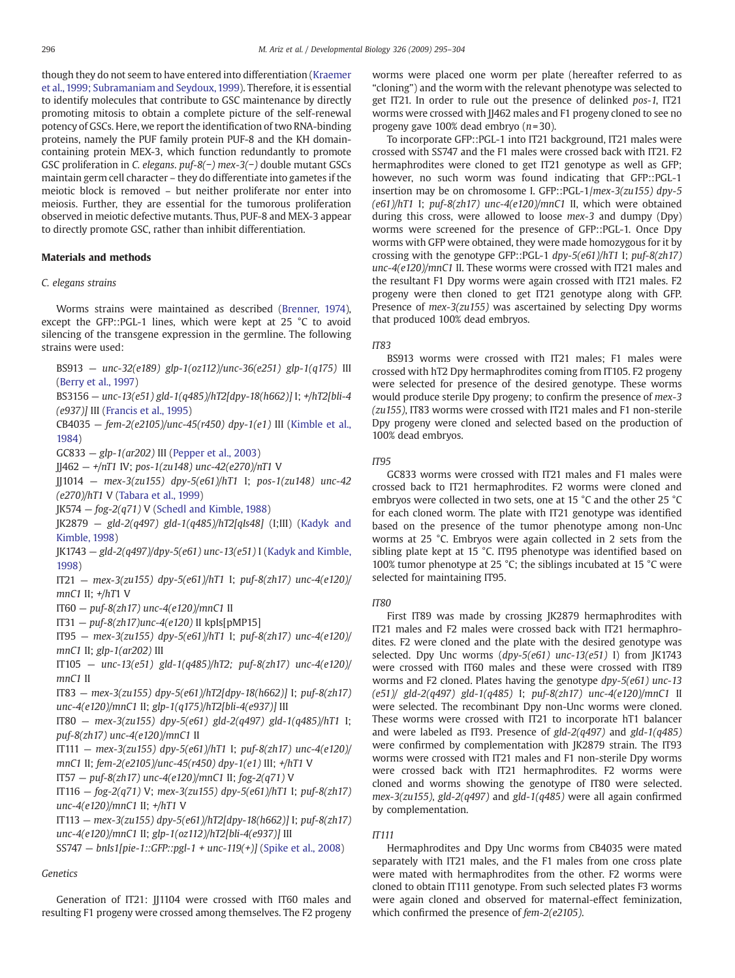though they do not seem to have entered into differentiation ([Kraemer](#page-9-0) [et al., 1999; Subramaniam and Seydoux, 1999](#page-9-0)). Therefore, it is essential to identify molecules that contribute to GSC maintenance by directly promoting mitosis to obtain a complete picture of the self-renewal potency of GSCs. Here, we report the identification of two RNA-binding proteins, namely the PUF family protein PUF-8 and the KH domaincontaining protein MEX-3, which function redundantly to promote GSC proliferation in *C. elegans*. *puf-8(*−*) mex-3(*−*)* double mutant GSCs maintain germ cell character – they do differentiate into gametes if the meiotic block is removed – but neither proliferate nor enter into meiosis. Further, they are essential for the tumorous proliferation observed in meiotic defective mutants. Thus, PUF-8 and MEX-3 appear to directly promote GSC, rather than inhibit differentiation.

### Materials and methods

### *C. elegans strains*

Worms strains were maintained as described ([Brenner, 1974](#page-9-0)), except the GFP::PGL-1 lines, which were kept at 25 °C to avoid silencing of the transgene expression in the germline. The following strains were used:

BS913 — *unc-32(e189) glp-1(oz112)/unc-36(e251) glp-1(q175)* III ([Berry et al., 1997](#page-9-0))

BS3156 — *unc-13(e51) gld-1(q485)/hT2[dpy-18(h662)]* I; *+/hT2[bli-4 (e937)]* III ([Francis et al., 1995\)](#page-9-0)

CB4035 — *fem-2(e2105)/unc-45(r450) dpy-1(e1)* III ([Kimble et al.,](#page-9-0) [1984](#page-9-0))

GC833 — *glp-1(ar202)* III [\(Pepper et al., 2003](#page-9-0))

JJ462 — *+/nT1* IV; *pos-1(zu148) unc-42(e270)/nT1* V

JJ1014 — *mex-3(zu155) dpy-5(e61)/hT1* I; *pos-1(zu148) unc-42 (e270)/hT1* V ([Tabara et al., 1999\)](#page-9-0)

JK574 — *fog-2(q71)* V [\(Schedl and Kimble, 1988\)](#page-9-0)

JK2879 — *gld-2(q497) gld-1(q485)/hT2[qIs48]* (I;III) ([Kadyk and](#page-9-0) [Kimble, 1998\)](#page-9-0)

JK1743 — *gld-2(q497)/dpy-5(e61) unc-13(e51)* I ([Kadyk and Kimble,](#page-9-0) [1998](#page-9-0))

IT21 — *mex-3(zu155) dpy-5(e61)/hT1* I; *puf-8(zh17) unc-4(e120)/ mnC1* II; *+/hT*1 V

IT60 — *puf-8(zh17) unc-4(e120)/mnC1* II

IT31 — *puf-8(zh17)unc-4(e120)* II kpIs[pMP15]

IT95 — *mex-3(zu155) dpy-5(e61)/hT1* I; *puf-8(zh17) unc-4(e120)/ mnC1* II; *glp-1(ar202)* III

IT105 — *unc-13(e51) gld-1(q485)/hT2; puf-8(zh17) unc-4(e120)/ mnC1* II

IT83 — *mex-3(zu155) dpy-5(e61)/hT2[dpy-18(h662)]* I; *puf-8(zh17) unc-4(e120)/mnC1* II; *glp-1(q175)/hT2[bli-4(e937)]* III

IT80 — *mex-3(zu155) dpy-5(e61) gld-2(q497) gld-1(q485)/hT1* I; *puf-8(zh17) unc-4(e120)/mnC1* II

IT111 — *mex-3(zu155) dpy-5(e61)/hT1* I; *puf-8(zh17) unc-4(e120)/*

*mnC1* II; *fem-2(e2105)/unc-45(r450) dpy-1(e1)* III; *+/hT1* V

IT57 — *puf-8(zh17) unc-4(e120)/mnC1* II; *fog-2(q71)* V

IT116 — *fog-2(q71)* V; *mex-3(zu155) dpy-5(e61)/hT1* I; *puf-8(zh17) unc-4(e120)/mnC1* II; *+/hT1* V

IT113 — *mex-3(zu155) dpy-5(e61)/hT2[dpy-18(h662)]* I; *puf-8(zh17) unc-4(e120)/mnC1* II; *glp-1(oz112)/hT2[bli-4(e937)]* III

SS747 — *bnIs1[pie-1::GFP::pgl-1 + unc-119(+)]* ([Spike et al., 2008](#page-9-0))

### *Genetics*

Generation of IT21: JJ1104 were crossed with IT60 males and resulting F1 progeny were crossed among themselves. The F2 progeny worms were placed one worm per plate (hereafter referred to as "cloning") and the worm with the relevant phenotype was selected to get IT21. In order to rule out the presence of delinked *pos-1*, IT21 worms were crossed with JJ462 males and F1 progeny cloned to see no progeny gave 100% dead embryo (*n*=30).

To incorporate GFP::PGL-1 into IT21 background, IT21 males were crossed with SS747 and the F1 males were crossed back with IT21. F2 hermaphrodites were cloned to get IT21 genotype as well as GFP; however, no such worm was found indicating that GFP::PGL-1 insertion may be on chromosome I. GFP::PGL-1/*mex-3(zu155) dpy-5 (e61)/hT1* I; *puf-8(zh17) unc-4(e120)/mnC1* II, which were obtained during this cross, were allowed to loose *mex-3* and dumpy (Dpy) worms were screened for the presence of GFP::PGL-1. Once Dpy worms with GFP were obtained, they were made homozygous for it by crossing with the genotype GFP::PGL-1 *dpy-5(e61)/hT1* I; *puf-8(zh17) unc-4(e120)/mnC1* II. These worms were crossed with IT21 males and the resultant F1 Dpy worms were again crossed with IT21 males. F2 progeny were then cloned to get IT21 genotype along with GFP. Presence of *mex-3(zu155)* was ascertained by selecting Dpy worms that produced 100% dead embryos.

#### *IT83*

BS913 worms were crossed with IT21 males; F1 males were crossed with hT2 Dpy hermaphrodites coming from IT105. F2 progeny were selected for presence of the desired genotype. These worms would produce sterile Dpy progeny; to confirm the presence of *mex-3 (zu155)*, IT83 worms were crossed with IT21 males and F1 non-sterile Dpy progeny were cloned and selected based on the production of 100% dead embryos.

#### *IT95*

GC833 worms were crossed with IT21 males and F1 males were crossed back to IT21 hermaphrodites. F2 worms were cloned and embryos were collected in two sets, one at 15 °C and the other 25 °C for each cloned worm. The plate with IT21 genotype was identified based on the presence of the tumor phenotype among non-Unc worms at 25 °C. Embryos were again collected in 2 sets from the sibling plate kept at 15 °C. IT95 phenotype was identified based on 100% tumor phenotype at 25 °C; the siblings incubated at 15 °C were selected for maintaining IT95.

#### *IT80*

First IT89 was made by crossing JK2879 hermaphrodites with IT21 males and F2 males were crossed back with IT21 hermaphrodites. F2 were cloned and the plate with the desired genotype was selected. Dpy Unc worms (*dpy-5(e61) unc-13(e51)* I) from JK1743 were crossed with IT60 males and these were crossed with IT89 worms and F2 cloned. Plates having the genotype *dpy-5(e61) unc-13 (e51)/ gld-2(q497) gld-1(q485)* I; *puf-8(zh17) unc-4(e120)/mnC1* II were selected. The recombinant Dpy non-Unc worms were cloned. These worms were crossed with IT21 to incorporate hT1 balancer and were labeled as IT93. Presence of *gld-2(q497)* and *gld-1(q485)* were confirmed by complementation with JK2879 strain. The IT93 worms were crossed with IT21 males and F1 non-sterile Dpy worms were crossed back with IT21 hermaphrodites. F2 worms were cloned and worms showing the genotype of IT80 were selected. *mex-3(zu155)*, *gld-2(q497)* and *gld-1(q485)* were all again confirmed by complementation.

# *IT111*

Hermaphrodites and Dpy Unc worms from CB4035 were mated separately with IT21 males, and the F1 males from one cross plate were mated with hermaphrodites from the other. F2 worms were cloned to obtain IT111 genotype. From such selected plates F3 worms were again cloned and observed for maternal-effect feminization, which confirmed the presence of *fem-2(e2105)*.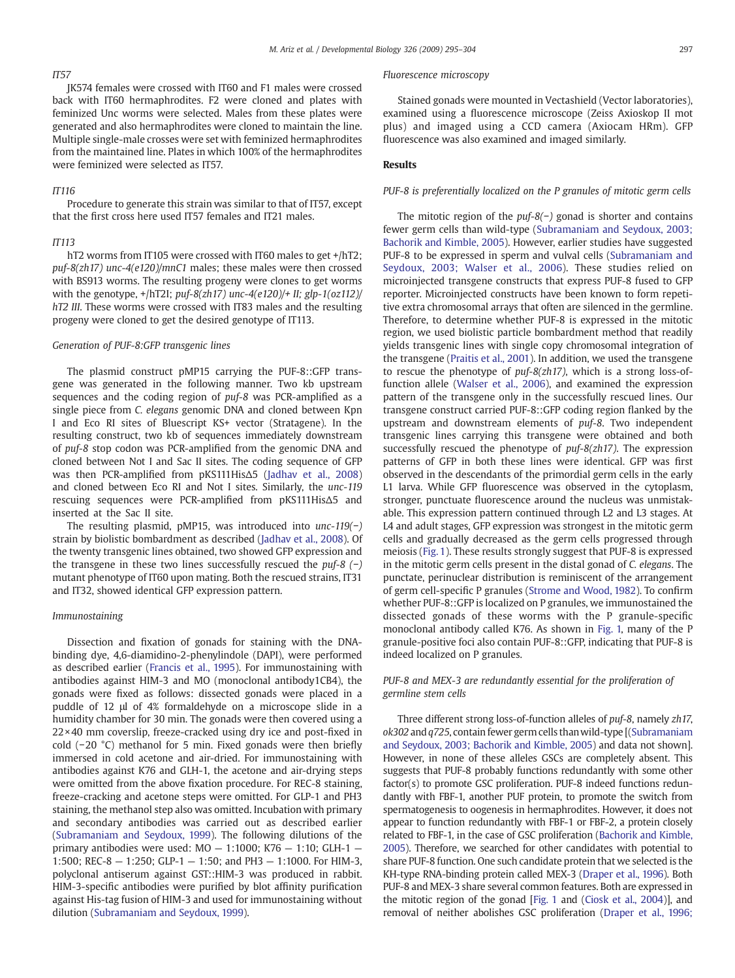# *IT57*

JK574 females were crossed with IT60 and F1 males were crossed back with IT60 hermaphrodites. F2 were cloned and plates with feminized Unc worms were selected. Males from these plates were generated and also hermaphrodites were cloned to maintain the line. Multiple single-male crosses were set with feminized hermaphrodites from the maintained line. Plates in which 100% of the hermaphrodites were feminized were selected as IT57.

#### *IT116*

Procedure to generate this strain was similar to that of IT57, except that the first cross here used IT57 females and IT21 males.

# *IT113*

hT2 worms from IT105 were crossed with IT60 males to get +/hT2; *puf-8(zh17) unc-4(e120)/mnC1* males; these males were then crossed with BS913 worms. The resulting progeny were clones to get worms with the genotype, +/hT2I; *puf-8(zh17) unc-4(e120)/+ II; glp-1(oz112)/ hT2 III*. These worms were crossed with IT83 males and the resulting progeny were cloned to get the desired genotype of IT113.

#### *Generation of PUF-8:GFP transgenic lines*

The plasmid construct pMP15 carrying the PUF-8::GFP transgene was generated in the following manner. Two kb upstream sequences and the coding region of *puf-8* was PCR-amplified as a single piece from *C. elegans* genomic DNA and cloned between Kpn I and Eco RI sites of Bluescript KS+ vector (Stratagene). In the resulting construct, two kb of sequences immediately downstream of *puf-8* stop codon was PCR-amplified from the genomic DNA and cloned between Not I and Sac II sites. The coding sequence of GFP was then PCR-amplified from pKS111HisΔ5 ([Jadhav et al., 2008\)](#page-9-0) and cloned between Eco RI and Not I sites. Similarly, the *unc-119* rescuing sequences were PCR-amplified from pKS111HisΔ5 and inserted at the Sac II site.

The resulting plasmid, pMP15, was introduced into *unc-119(*−*)* strain by biolistic bombardment as described ([Jadhav et al., 2008](#page-9-0)). Of the twenty transgenic lines obtained, two showed GFP expression and the transgene in these two lines successfully rescued the *puf-8 (*−*)* mutant phenotype of IT60 upon mating. Both the rescued strains, IT31 and IT32, showed identical GFP expression pattern.

#### *Immunostaining*

Dissection and fixation of gonads for staining with the DNAbinding dye, 4,6-diamidino-2-phenylindole (DAPI), were performed as described earlier [\(Francis et al., 1995\)](#page-9-0). For immunostaining with antibodies against HIM-3 and MO (monoclonal antibody1CB4), the gonads were fixed as follows: dissected gonads were placed in a puddle of 12 μl of 4% formaldehyde on a microscope slide in a humidity chamber for 30 min. The gonads were then covered using a  $22 \times 40$  mm coverslip, freeze-cracked using dry ice and post-fixed in cold (−20 °C) methanol for 5 min. Fixed gonads were then briefly immersed in cold acetone and air-dried. For immunostaining with antibodies against K76 and GLH-1, the acetone and air-drying steps were omitted from the above fixation procedure. For REC-8 staining, freeze-cracking and acetone steps were omitted. For GLP-1 and PH3 staining, the methanol step also was omitted. Incubation with primary and secondary antibodies was carried out as described earlier [\(Subramaniam and Seydoux, 1999\)](#page-9-0). The following dilutions of the primary antibodies were used:  $MO - 1:1000$ ;  $K76 - 1:10$ ; GLH-1 -1:500; REC-8 — 1:250; GLP-1 — 1:50; and PH3 — 1:1000. For HIM-3, polyclonal antiserum against GST::HIM-3 was produced in rabbit. HIM-3-specific antibodies were purified by blot affinity purification against His-tag fusion of HIM-3 and used for immunostaining without dilution [\(Subramaniam and Seydoux, 1999](#page-9-0)).

## *Fluorescence microscopy*

Stained gonads were mounted in Vectashield (Vector laboratories), examined using a fluorescence microscope (Zeiss Axioskop II mot plus) and imaged using a CCD camera (Axiocam HRm). GFP fluorescence was also examined and imaged similarly.

#### Results

#### *PUF-8 is preferentially localized on the P granules of mitotic germ cells*

The mitotic region of the *puf-8(*−*)* gonad is shorter and contains fewer germ cells than wild-type [\(Subramaniam and Seydoux, 2003;](#page-9-0) [Bachorik and Kimble, 2005\)](#page-9-0). However, earlier studies have suggested PUF-8 to be expressed in sperm and vulval cells ([Subramaniam and](#page-9-0) [Seydoux, 2003; Walser et al., 2006\)](#page-9-0). These studies relied on microinjected transgene constructs that express PUF-8 fused to GFP reporter. Microinjected constructs have been known to form repetitive extra chromosomal arrays that often are silenced in the germline. Therefore, to determine whether PUF-8 is expressed in the mitotic region, we used biolistic particle bombardment method that readily yields transgenic lines with single copy chromosomal integration of the transgene [\(Praitis et al., 2001](#page-9-0)). In addition, we used the transgene to rescue the phenotype of *puf-8(zh17)*, which is a strong loss-offunction allele [\(Walser et al., 2006](#page-9-0)), and examined the expression pattern of the transgene only in the successfully rescued lines. Our transgene construct carried PUF-8::GFP coding region flanked by the upstream and downstream elements of *puf-8*. Two independent transgenic lines carrying this transgene were obtained and both successfully rescued the phenotype of *puf-8(zh17)*. The expression patterns of GFP in both these lines were identical. GFP was first observed in the descendants of the primordial germ cells in the early L1 larva. While GFP fluorescence was observed in the cytoplasm, stronger, punctuate fluorescence around the nucleus was unmistakable. This expression pattern continued through L2 and L3 stages. At L4 and adult stages, GFP expression was strongest in the mitotic germ cells and gradually decreased as the germ cells progressed through meiosis ([Fig. 1](#page-3-0)). These results strongly suggest that PUF-8 is expressed in the mitotic germ cells present in the distal gonad of *C. elegans*. The punctate, perinuclear distribution is reminiscent of the arrangement of germ cell-specific P granules ([Strome and Wood, 1982\)](#page-9-0). To confirm whether PUF-8::GFP is localized on P granules, we immunostained the dissected gonads of these worms with the P granule-specific monoclonal antibody called K76. As shown in [Fig. 1,](#page-3-0) many of the P granule-positive foci also contain PUF-8::GFP, indicating that PUF-8 is indeed localized on P granules.

# *PUF-8 and MEX-3 are redundantly essential for the proliferation of germline stem cells*

Three different strong loss-of-function alleles of *puf-8*, namely *zh17*, *ok302* and*q725*, contain fewer germ cells thanwild-type [[\(Subramaniam](#page-9-0) [and Seydoux, 2003; Bachorik and Kimble, 2005](#page-9-0)) and data not shown]. However, in none of these alleles GSCs are completely absent. This suggests that PUF-8 probably functions redundantly with some other factor(s) to promote GSC proliferation. PUF-8 indeed functions redundantly with FBF-1, another PUF protein, to promote the switch from spermatogenesis to oogenesis in hermaphrodites. However, it does not appear to function redundantly with FBF-1 or FBF-2, a protein closely related to FBF-1, in the case of GSC proliferation ([Bachorik and Kimble,](#page-9-0) [2005\)](#page-9-0). Therefore, we searched for other candidates with potential to share PUF-8 function. One such candidate protein that we selected is the KH-type RNA-binding protein called MEX-3 [\(Draper et al., 1996\)](#page-9-0). Both PUF-8 and MEX-3 share several common features. Both are expressed in the mitotic region of the gonad [\[Fig. 1](#page-3-0) and [\(Ciosk et al., 2004\)](#page-9-0)], and removal of neither abolishes GSC proliferation [\(Draper et al., 1996;](#page-9-0)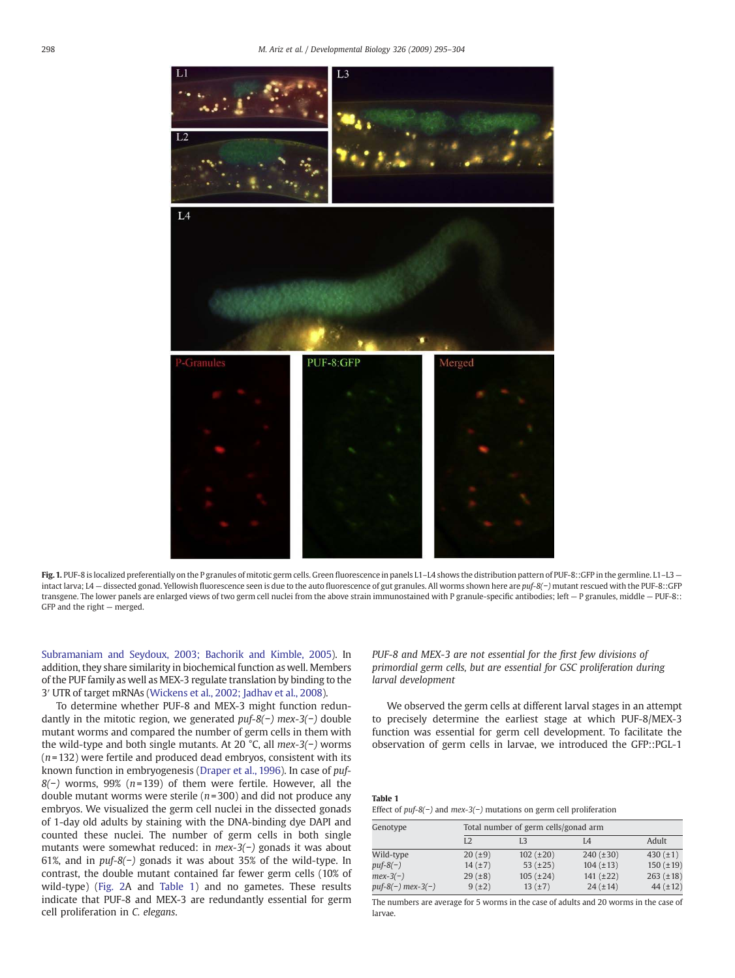<span id="page-3-0"></span>

Fig. 1. PUF-8 is localized preferentially on the P granules of mitotic germ cells. Green fluorescence in panels L1-L4 shows the distribution pattern of PUF-8::GFP in the germline. L1-L3 intact larva; L4 — dissected gonad. Yellowish fluorescence seen is due to the auto fluorescence of gut granules. All worms shown here are *puf-8(*−*)* mutant rescued with the PUF-8::GFP transgene. The lower panels are enlarged views of two germ cell nuclei from the above strain immunostained with P granule-specific antibodies; left - P granules, middle - PUF-8:: GFP and the right — merged.

[Subramaniam and Seydoux, 2003; Bachorik and Kimble, 2005\)](#page-9-0). In addition, they share similarity in biochemical function as well. Members of the PUF family as well as MEX-3 regulate translation by binding to the 3′ UTR of target mRNAs ([Wickens et al., 2002; Jadhav et al., 2008](#page-9-0)).

To determine whether PUF-8 and MEX-3 might function redundantly in the mitotic region, we generated *puf-8(*−*) mex-3(*−*)* double mutant worms and compared the number of germ cells in them with the wild-type and both single mutants. At 20 °C, all *mex-3(*−*)* worms (*n*= 132) were fertile and produced dead embryos, consistent with its known function in embryogenesis [\(Draper et al., 1996\)](#page-9-0). In case of *puf-8(*−*)* worms, 99% (*n*=139) of them were fertile. However, all the double mutant worms were sterile (*n*= 300) and did not produce any embryos. We visualized the germ cell nuclei in the dissected gonads of 1-day old adults by staining with the DNA-binding dye DAPI and counted these nuclei. The number of germ cells in both single mutants were somewhat reduced: in *mex-3(*−*)* gonads it was about 61%, and in *puf-8(*−*)* gonads it was about 35% of the wild-type. In contrast, the double mutant contained far fewer germ cells (10% of wild-type) ([Fig. 2](#page-4-0)A and Table 1) and no gametes. These results indicate that PUF-8 and MEX-3 are redundantly essential for germ cell proliferation in *C. elegans*.

*PUF-8 and MEX-3 are not essential for the* fi*rst few divisions of primordial germ cells, but are essential for GSC proliferation during larval development*

We observed the germ cells at different larval stages in an attempt to precisely determine the earliest stage at which PUF-8/MEX-3 function was essential for germ cell development. To facilitate the observation of germ cells in larvae, we introduced the GFP::PGL-1

# Table 1

| Genotype            |                | Total number of germ cells/gonad arm |                |                |  |  |
|---------------------|----------------|--------------------------------------|----------------|----------------|--|--|
|                     | L <sub>2</sub> | LЗ                                   | I 4            | Adult          |  |  |
| Wild-type           | 20(.19)        | $102 (\pm 20)$                       | $240 (\pm 30)$ | 430 $(\pm 1)$  |  |  |
| $puf-8(-)$          | 14(±7)         | 53 $(\pm 25)$                        | $104 (\pm 13)$ | $150 (\pm 19)$ |  |  |
| $mex-3(-)$          | 29(.18)        | $105 (\pm 24)$                       | $141 (\pm 22)$ | $263 (\pm 18)$ |  |  |
| $puf-8(-)$ mex-3(-) | 9(±2)          | 13(f±7)                              | $24 (\pm 14)$  | $44 (\pm 12)$  |  |  |

The numbers are average for 5 worms in the case of adults and 20 worms in the case of larvae.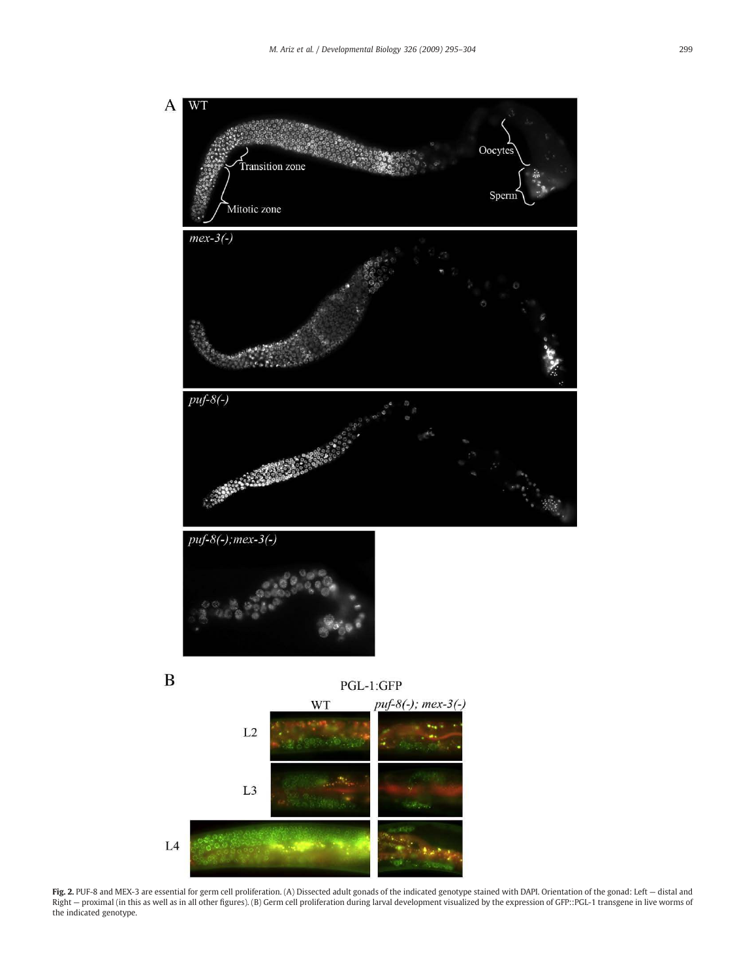<span id="page-4-0"></span>

Fig. 2. PUF-8 and MEX-3 are essential for germ cell proliferation. (A) Dissected adult gonads of the indicated genotype stained with DAPI. Orientation of the gonad: Left - distal and Right – proximal (in this as well as in all other figures). (B) Germ cell proliferation during larval development visualized by the expression of GFP::PGL-1 transgene in live worms of the indicated genotype.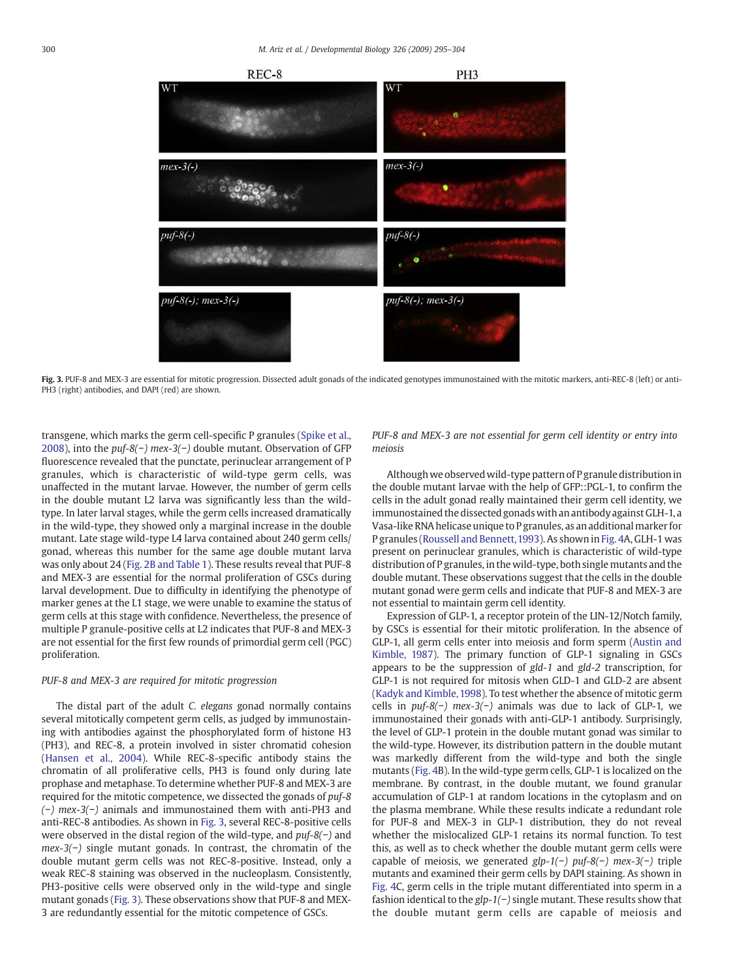

Fig. 3. PUF-8 and MEX-3 are essential for mitotic progression. Dissected adult gonads of the indicated genotypes immunostained with the mitotic markers, anti-REC-8 (left) or anti-PH3 (right) antibodies, and DAPI (red) are shown.

transgene, which marks the germ cell-specific P granules [\(Spike et al.,](#page-9-0) [2008](#page-9-0)), into the *puf-8(*−*) mex-3(*−*)* double mutant. Observation of GFP fluorescence revealed that the punctate, perinuclear arrangement of P granules, which is characteristic of wild-type germ cells, was unaffected in the mutant larvae. However, the number of germ cells in the double mutant L2 larva was significantly less than the wildtype. In later larval stages, while the germ cells increased dramatically in the wild-type, they showed only a marginal increase in the double mutant. Late stage wild-type L4 larva contained about 240 germ cells/ gonad, whereas this number for the same age double mutant larva was only about 24 ([Fig. 2B and Table 1](#page-4-0)). These results reveal that PUF-8 and MEX-3 are essential for the normal proliferation of GSCs during larval development. Due to difficulty in identifying the phenotype of marker genes at the L1 stage, we were unable to examine the status of germ cells at this stage with confidence. Nevertheless, the presence of multiple P granule-positive cells at L2 indicates that PUF-8 and MEX-3 are not essential for the first few rounds of primordial germ cell (PGC) proliferation.

#### *PUF-8 and MEX-3 are required for mitotic progression*

The distal part of the adult *C. elegans* gonad normally contains several mitotically competent germ cells, as judged by immunostaining with antibodies against the phosphorylated form of histone H3 (PH3), and REC-8, a protein involved in sister chromatid cohesion ([Hansen et al., 2004](#page-9-0)). While REC-8-specific antibody stains the chromatin of all proliferative cells, PH3 is found only during late prophase and metaphase. To determine whether PUF-8 and MEX-3 are required for the mitotic competence, we dissected the gonads of *puf-8 (*−*) mex-3(*−*)* animals and immunostained them with anti-PH3 and anti-REC-8 antibodies. As shown in Fig. 3, several REC-8-positive cells were observed in the distal region of the wild-type, and *puf-8(*−*)* and *mex-3(*−*)* single mutant gonads. In contrast, the chromatin of the double mutant germ cells was not REC-8-positive. Instead, only a weak REC-8 staining was observed in the nucleoplasm. Consistently, PH3-positive cells were observed only in the wild-type and single mutant gonads (Fig. 3). These observations show that PUF-8 and MEX-3 are redundantly essential for the mitotic competence of GSCs.

*PUF-8 and MEX-3 are not essential for germ cell identity or entry into meiosis*

Although we observed wild-type pattern of P granule distribution in the double mutant larvae with the help of GFP::PGL-1, to confirm the cells in the adult gonad really maintained their germ cell identity, we immunostained the dissected gonads with an antibody against GLH-1, a Vasa-like RNA helicase unique to P granules, as an additional marker for P granules ([Roussell and Bennett,1993](#page-9-0)). As shown in [Fig. 4A](#page-6-0), GLH-1 was present on perinuclear granules, which is characteristic of wild-type distribution of P granules, in the wild-type, both single mutants and the double mutant. These observations suggest that the cells in the double mutant gonad were germ cells and indicate that PUF-8 and MEX-3 are not essential to maintain germ cell identity.

Expression of GLP-1, a receptor protein of the LIN-12/Notch family, by GSCs is essential for their mitotic proliferation. In the absence of GLP-1, all germ cells enter into meiosis and form sperm [\(Austin and](#page-9-0) [Kimble,](#page-9-0) 1987). The primary function of GLP-1 signaling in GSCs appears to be the suppression of *gld-1* and *gld-2* transcription, for GLP-1 is not required for mitosis when GLD-1 and GLD-2 are absent ([Kadyk and Kimble, 1998](#page-9-0)). To test whether the absence of mitotic germ cells in *puf-8(*−*) mex-3(*−*)* animals was due to lack of GLP-1, we immunostained their gonads with anti-GLP-1 antibody. Surprisingly, the level of GLP-1 protein in the double mutant gonad was similar to the wild-type. However, its distribution pattern in the double mutant was markedly different from the wild-type and both the single mutants [\(Fig. 4](#page-6-0)B). In the wild-type germ cells, GLP-1 is localized on the membrane. By contrast, in the double mutant, we found granular accumulation of GLP-1 at random locations in the cytoplasm and on the plasma membrane. While these results indicate a redundant role for PUF-8 and MEX-3 in GLP-1 distribution, they do not reveal whether the mislocalized GLP-1 retains its normal function. To test this, as well as to check whether the double mutant germ cells were capable of meiosis, we generated *glp-1(*−*) puf-8(*−*) mex-3(*−*)* triple mutants and examined their germ cells by DAPI staining. As shown in [Fig. 4](#page-6-0)C, germ cells in the triple mutant differentiated into sperm in a fashion identical to the *glp-1(*−*)* single mutant. These results show that the double mutant germ cells are capable of meiosis and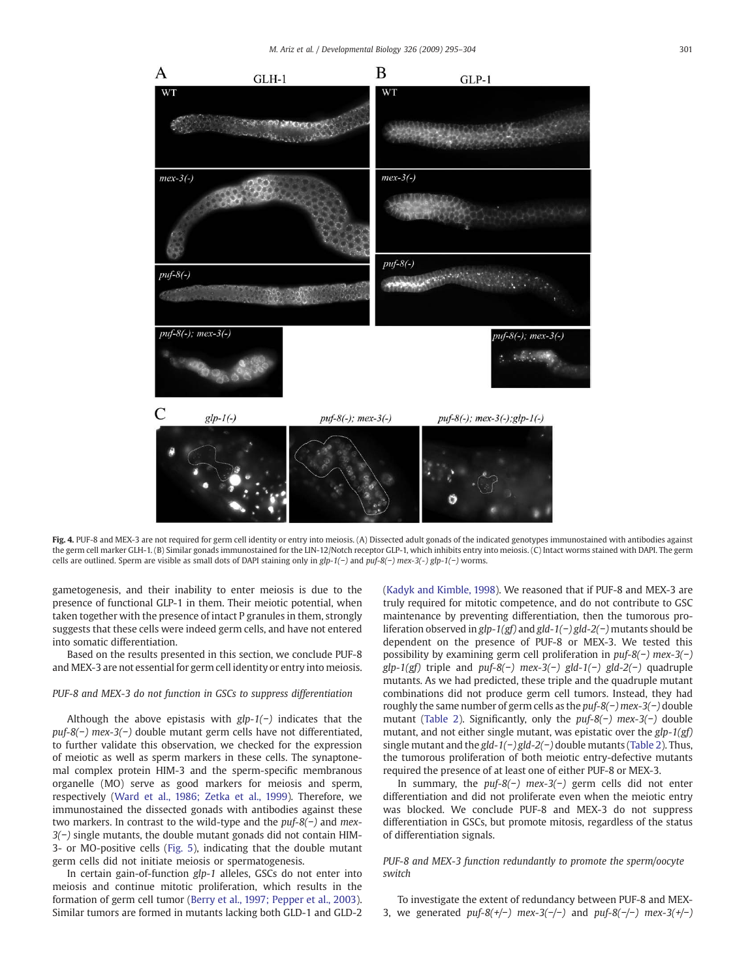$GLH-1$ 

B

 $GLP-1$ 





Fig. 4. PUF-8 and MEX-3 are not required for germ cell identity or entry into meiosis. (A) Dissected adult gonads of the indicated genotypes immunostained with antibodies against the germ cell marker GLH-1. (B) Similar gonads immunostained for the LIN-12/Notch receptor GLP-1, which inhibits entry into meiosis. (C) Intact worms stained with DAPI. The germ cells are outlined. Sperm are visible as small dots of DAPI staining only in *glp-1(*−*)* and *puf-8(*−*) mex-3(-) glp-1(*−*)* worms.

gametogenesis, and their inability to enter meiosis is due to the presence of functional GLP-1 in them. Their meiotic potential, when taken together with the presence of intact P granules in them, strongly suggests that these cells were indeed germ cells, and have not entered into somatic differentiation.

<span id="page-6-0"></span> $\overline{A}$ 

Based on the results presented in this section, we conclude PUF-8 and MEX-3 are not essential for germ cell identity or entry into meiosis.

#### *PUF-8 and MEX-3 do not function in GSCs to suppress differentiation*

Although the above epistasis with *glp-1(*−*)* indicates that the *puf-8(*−*) mex-3(*−*)* double mutant germ cells have not differentiated, to further validate this observation, we checked for the expression of meiotic as well as sperm markers in these cells. The synaptonemal complex protein HIM-3 and the sperm-specific membranous organelle (MO) serve as good markers for meiosis and sperm, respectively ([Ward et al., 1986; Zetka et al., 1999\)](#page-9-0). Therefore, we immunostained the dissected gonads with antibodies against these two markers. In contrast to the wild-type and the *puf-8(*−*)* and *mex-3(*−*)* single mutants, the double mutant gonads did not contain HIM-3- or MO-positive cells ([Fig. 5\)](#page-7-0), indicating that the double mutant germ cells did not initiate meiosis or spermatogenesis.

In certain gain-of-function *glp-1* alleles, GSCs do not enter into meiosis and continue mitotic proliferation, which results in the formation of germ cell tumor ([Berry et al., 1997; Pepper et al., 2003\)](#page-9-0). Similar tumors are formed in mutants lacking both GLD-1 and GLD-2 [\(Kadyk and Kimble, 1998\)](#page-9-0). We reasoned that if PUF-8 and MEX-3 are truly required for mitotic competence, and do not contribute to GSC maintenance by preventing differentiation, then the tumorous proliferation observed in *glp-1(gf)* and *gld-1(*−*) gld-2(*−*)* mutants should be dependent on the presence of PUF-8 or MEX-3. We tested this possibility by examining germ cell proliferation in *puf-8(*−*) mex-3(*−*) glp-1(gf)* triple and *puf-8(*−*) mex-3(*−*) gld-1(*−*) gld-2(*−*)* quadruple mutants. As we had predicted, these triple and the quadruple mutant combinations did not produce germ cell tumors. Instead, they had roughly the same number of germ cells as the *puf-8(*−*) mex-3(*−*)* double mutant [\(Table 2\)](#page-7-0). Significantly, only the *puf-8(*−*) mex-3(*−*)* double mutant, and not either single mutant, was epistatic over the *glp-1(gf)* single mutant and the *gld-1(*−*) gld-2(*−*)* double mutants ([Table 2](#page-7-0)). Thus, the tumorous proliferation of both meiotic entry-defective mutants required the presence of at least one of either PUF-8 or MEX-3.

In summary, the *puf-8(*−*) mex-3(*−*)* germ cells did not enter differentiation and did not proliferate even when the meiotic entry was blocked. We conclude PUF-8 and MEX-3 do not suppress differentiation in GSCs, but promote mitosis, regardless of the status of differentiation signals.

# *PUF-8 and MEX-3 function redundantly to promote the sperm/oocyte switch*

To investigate the extent of redundancy between PUF-8 and MEX-3, we generated *puf-8(+/*−*) mex-3(*−*/*−*)* and *puf-8(*−*/*−*) mex-3(+/*−*)*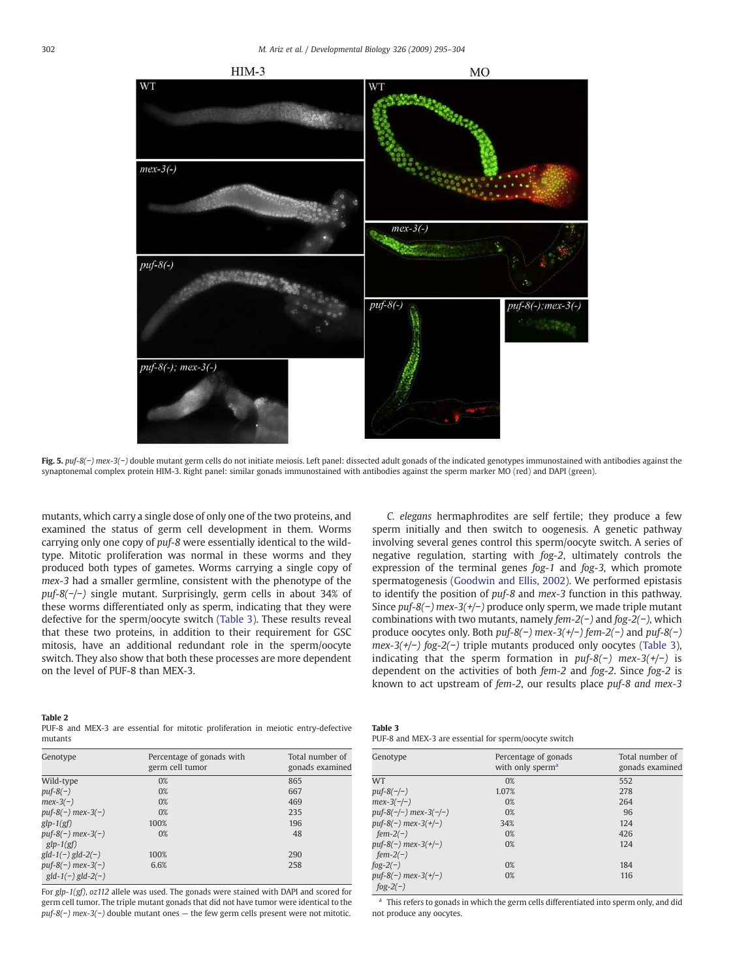<span id="page-7-0"></span>

Fig. 5. *puf-8(*−*) mex-3(*−*)* double mutant germ cells do not initiate meiosis. Left panel: dissected adult gonads of the indicated genotypes immunostained with antibodies against the synaptonemal complex protein HIM-3. Right panel: similar gonads immunostained with antibodies against the sperm marker MO (red) and DAPI (green).

mutants, which carry a single dose of only one of the two proteins, and examined the status of germ cell development in them. Worms carrying only one copy of *puf-8* were essentially identical to the wildtype. Mitotic proliferation was normal in these worms and they produced both types of gametes. Worms carrying a single copy of *mex-3* had a smaller germline, consistent with the phenotype of the *puf-8(*−*/*−*)* single mutant. Surprisingly, germ cells in about 34% of these worms differentiated only as sperm, indicating that they were defective for the sperm/oocyte switch (Table 3). These results reveal that these two proteins, in addition to their requirement for GSC mitosis, have an additional redundant role in the sperm/oocyte switch. They also show that both these processes are more dependent on the level of PUF-8 than MEX-3.

# *C. elegans* hermaphrodites are self fertile; they produce a few sperm initially and then switch to oogenesis. A genetic pathway involving several genes control this sperm/oocyte switch. A series of negative regulation, starting with *fog-2*, ultimately controls the expression of the terminal genes *fog-1* and *fog-3*, which promote spermatogenesis [\(Goodwin and Ellis, 2002](#page-9-0)). We performed epistasis to identify the position of *puf-8* and *mex-3* function in this pathway. Since *puf-8(*−*) mex-3(+/*−*)* produce only sperm, we made triple mutant combinations with two mutants, namely *fem-2(*−*)* and *fog-2(*−*)*, which produce oocytes only. Both *puf-8(*−*) mex-3(+/*−*) fem-2(*−*)* and *puf-8(*−*) mex-3(+/*−*) fog-2(*−*)* triple mutants produced only oocytes (Table 3), indicating that the sperm formation in *puf-8(*−*) mex-3(+/*−*)* is dependent on the activities of both *fem-2* and *fog-2*. Since *fog-2* is known to act upstream of *fem-2*, our results place *puf-8 and mex-3*

#### Table 2

PUF-8 and MEX-3 are essential for mitotic proliferation in meiotic entry-defective mutants

| Genotype                                   | Percentage of gonads with<br>germ cell tumor | Total number of<br>gonads examined |
|--------------------------------------------|----------------------------------------------|------------------------------------|
| Wild-type                                  | 0%                                           | 865                                |
| $puf$ -8(-)                                | 0%                                           | 667                                |
| $mex-3(-)$                                 | 0%                                           | 469                                |
| puf-8(-) mex-3(-)                          | 0%                                           | 235                                |
| $glp-1(gf)$                                | 100%                                         | 196                                |
| $puf-8(-)$ mex-3(-)<br>$glp-1(gf)$         | 0%                                           | 48                                 |
| $gd-1(-) gld-2(-)$                         | 100%                                         | 290                                |
| $puf-8(-)$ mex-3(-)<br>$gld-1(-) gld-2(-)$ | 6.6%                                         | 258                                |

For *glp-1(gf)*, *oz112* allele was used. The gonads were stained with DAPI and scored for germ cell tumor. The triple mutant gonads that did not have tumor were identical to the *puf-8(*−*) mex-3(*−*)* double mutant ones — the few germ cells present were not mitotic.

| Table 3 |                                                       |
|---------|-------------------------------------------------------|
|         | PUF-8 and MEX-3 are essential for sperm/oocyte switch |

| Genotype                                    | Percentage of gonads<br>with only sperm <sup>a</sup> | Total number of<br>gonads examined |
|---------------------------------------------|------------------------------------------------------|------------------------------------|
| <b>WT</b>                                   | 0%                                                   | 552                                |
| $puf-8(-/-)$                                | 1.07%                                                | 278                                |
| $mex-3(-/-)$                                | 0%                                                   | 264                                |
| $puf-8(-/-)$ mex-3(-/-)                     | 0%                                                   | 96                                 |
| $puf-8(-)$ mex-3(+/-)                       | 34%                                                  | 124                                |
| $fem-2(-)$                                  | 0%                                                   | 426                                |
| $puf-8(-)$ mex-3(+/-)<br>$fem-2(-)$         | 0%                                                   | 124                                |
| $f \circ g - 2(-)$                          | 0%                                                   | 184                                |
| $puf-8(-)$ mex-3(+/-)<br>$f \circ g - 2(-)$ | 0%                                                   | 116                                |

<sup>a</sup> This refers to gonads in which the germ cells differentiated into sperm only, and did not produce any oocytes.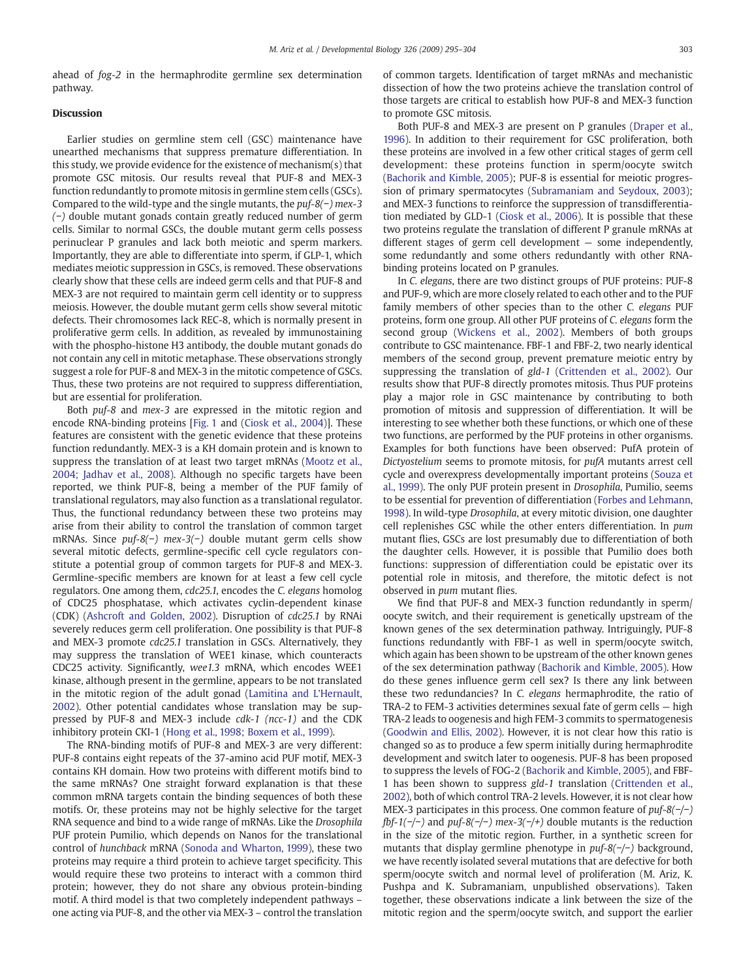ahead of *fog-2* in the hermaphrodite germline sex determination pathway.

#### Discussion

Earlier studies on germline stem cell (GSC) maintenance have unearthed mechanisms that suppress premature differentiation. In this study, we provide evidence for the existence of mechanism(s) that promote GSC mitosis. Our results reveal that PUF-8 and MEX-3 function redundantly to promote mitosis in germline stem cells (GSCs). Compared to the wild-type and the single mutants, the *puf-8(*−*) mex-3 (*−*)* double mutant gonads contain greatly reduced number of germ cells. Similar to normal GSCs, the double mutant germ cells possess perinuclear P granules and lack both meiotic and sperm markers. Importantly, they are able to differentiate into sperm, if GLP-1, which mediates meiotic suppression in GSCs, is removed. These observations clearly show that these cells are indeed germ cells and that PUF-8 and MEX-3 are not required to maintain germ cell identity or to suppress meiosis. However, the double mutant germ cells show several mitotic defects. Their chromosomes lack REC-8, which is normally present in proliferative germ cells. In addition, as revealed by immunostaining with the phospho-histone H3 antibody, the double mutant gonads do not contain any cell in mitotic metaphase. These observations strongly suggest a role for PUF-8 and MEX-3 in the mitotic competence of GSCs. Thus, these two proteins are not required to suppress differentiation, but are essential for proliferation.

Both *puf-8* and *mex-3* are expressed in the mitotic region and encode RNA-binding proteins [[Fig. 1](#page-3-0) and [\(Ciosk et al., 2004](#page-9-0))]. These features are consistent with the genetic evidence that these proteins function redundantly. MEX-3 is a KH domain protein and is known to suppress the translation of at least two target mRNAs ([Mootz et al.,](#page-9-0) [2004; Jadhav et al., 2008\)](#page-9-0). Although no specific targets have been reported, we think PUF-8, being a member of the PUF family of translational regulators, may also function as a translational regulator. Thus, the functional redundancy between these two proteins may arise from their ability to control the translation of common target mRNAs. Since *puf-8(*−*) mex-3(*−*)* double mutant germ cells show several mitotic defects, germline-specific cell cycle regulators constitute a potential group of common targets for PUF-8 and MEX-3. Germline-specific members are known for at least a few cell cycle regulators. One among them, *cdc25.1*, encodes the *C. elegans* homolog of CDC25 phosphatase, which activates cyclin-dependent kinase (CDK) [\(Ashcroft and Golden, 2002\)](#page-9-0). Disruption of *cdc25.1* by RNAi severely reduces germ cell proliferation. One possibility is that PUF-8 and MEX-3 promote *cdc25.1* translation in GSCs. Alternatively, they may suppress the translation of WEE1 kinase, which counteracts CDC25 activity. Significantly, *wee1.3* mRNA, which encodes WEE1 kinase, although present in the germline, appears to be not translated in the mitotic region of the adult gonad ([Lamitina and L'Hernault,](#page-9-0) [2002](#page-9-0)). Other potential candidates whose translation may be suppressed by PUF-8 and MEX-3 include *cdk-1 (ncc-1)* and the CDK inhibitory protein CKI-1 ([Hong et al., 1998; Boxem et al., 1999\)](#page-9-0).

The RNA-binding motifs of PUF-8 and MEX-3 are very different: PUF-8 contains eight repeats of the 37-amino acid PUF motif, MEX-3 contains KH domain. How two proteins with different motifs bind to the same mRNAs? One straight forward explanation is that these common mRNA targets contain the binding sequences of both these motifs. Or, these proteins may not be highly selective for the target RNA sequence and bind to a wide range of mRNAs. Like the *Drosophila* PUF protein Pumilio, which depends on Nanos for the translational control of *hunchback* mRNA ([Sonoda and Wharton, 1999\)](#page-9-0), these two proteins may require a third protein to achieve target specificity. This would require these two proteins to interact with a common third protein; however, they do not share any obvious protein-binding motif. A third model is that two completely independent pathways – one acting via PUF-8, and the other via MEX-3 – control the translation of common targets. Identification of target mRNAs and mechanistic dissection of how the two proteins achieve the translation control of those targets are critical to establish how PUF-8 and MEX-3 function to promote GSC mitosis.

Both PUF-8 and MEX-3 are present on P granules [\(Draper et al.,](#page-9-0) [1996](#page-9-0)). In addition to their requirement for GSC proliferation, both these proteins are involved in a few other critical stages of germ cell development: these proteins function in sperm/oocyte switch [\(Bachorik and Kimble, 2005\)](#page-9-0); PUF-8 is essential for meiotic progression of primary spermatocytes ([Subramaniam and Seydoux, 2003\)](#page-9-0); and MEX-3 functions to reinforce the suppression of transdifferentiation mediated by GLD-1 ([Ciosk et al., 2006](#page-9-0)). It is possible that these two proteins regulate the translation of different P granule mRNAs at different stages of germ cell development — some independently, some redundantly and some others redundantly with other RNAbinding proteins located on P granules.

In *C. elegans*, there are two distinct groups of PUF proteins: PUF-8 and PUF-9, which are more closely related to each other and to the PUF family members of other species than to the other *C. elegans* PUF proteins, form one group. All other PUF proteins of *C. elegans* form the second group ([Wickens et al., 2002](#page-9-0)). Members of both groups contribute to GSC maintenance. FBF-1 and FBF-2, two nearly identical members of the second group, prevent premature meiotic entry by suppressing the translation of *gld-1* [\(Crittenden et al., 2002](#page-9-0)). Our results show that PUF-8 directly promotes mitosis. Thus PUF proteins play a major role in GSC maintenance by contributing to both promotion of mitosis and suppression of differentiation. It will be interesting to see whether both these functions, or which one of these two functions, are performed by the PUF proteins in other organisms. Examples for both functions have been observed: PufA protein of *Dictyostelium* seems to promote mitosis, for *pufA* mutants arrest cell cycle and overexpress developmentally important proteins ([Souza et](#page-9-0) [al., 1999](#page-9-0)). The only PUF protein present in *Drosophila*, Pumilio, seems to be essential for prevention of differentiation [\(Forbes and Lehmann,](#page-9-0) [1998](#page-9-0)). In wild-type *Drosophila*, at every mitotic division, one daughter cell replenishes GSC while the other enters differentiation. In *pum* mutant flies, GSCs are lost presumably due to differentiation of both the daughter cells. However, it is possible that Pumilio does both functions: suppression of differentiation could be epistatic over its potential role in mitosis, and therefore, the mitotic defect is not observed in *pum* mutant flies.

We find that PUF-8 and MEX-3 function redundantly in sperm/ oocyte switch, and their requirement is genetically upstream of the known genes of the sex determination pathway. Intriguingly, PUF-8 functions redundantly with FBF-1 as well in sperm/oocyte switch, which again has been shown to be upstream of the other known genes of the sex determination pathway [\(Bachorik and Kimble, 2005](#page-9-0)). How do these genes influence germ cell sex? Is there any link between these two redundancies? In *C. elegans* hermaphrodite, the ratio of TRA-2 to FEM-3 activities determines sexual fate of germ cells — high TRA-2 leads to oogenesis and high FEM-3 commits to spermatogenesis [\(Goodwin and Ellis, 2002\)](#page-9-0). However, it is not clear how this ratio is changed so as to produce a few sperm initially during hermaphrodite development and switch later to oogenesis. PUF-8 has been proposed to suppress the levels of FOG-2 [\(Bachorik and Kimble, 2005\)](#page-9-0), and FBF-1 has been shown to suppress *gld-1* translation ([Crittenden et al.,](#page-9-0) [2002\)](#page-9-0), both of which control TRA-2 levels. However, it is not clear how MEX-3 participates in this process. One common feature of *puf-8(*−*/*−*) fbf-1(*−*/*−*)* and *puf-8(*−*/*−*) mex-3(*−*/+)* double mutants is the reduction in the size of the mitotic region. Further, in a synthetic screen for mutants that display germline phenotype in *puf-8(*−*/*−*)* background, we have recently isolated several mutations that are defective for both sperm/oocyte switch and normal level of proliferation (M. Ariz, K. Pushpa and K. Subramaniam, unpublished observations). Taken together, these observations indicate a link between the size of the mitotic region and the sperm/oocyte switch, and support the earlier